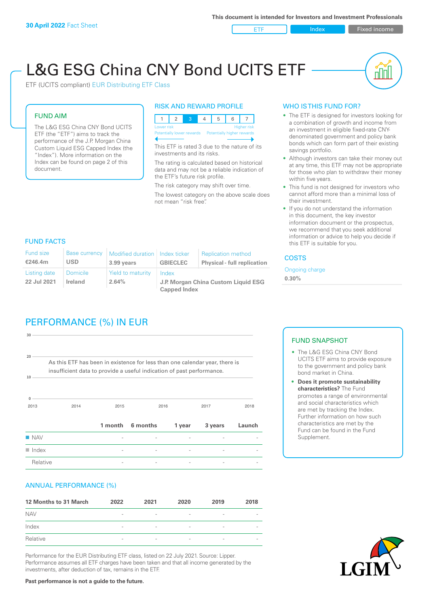ETF Index Fixed income

nl Inl

# L&G ESG China CNY Bond UCITS ETF

ETF (UCITS compliant) EUR Distributing ETF Class

### FUND AIM

The L&G ESG China CNY Bond UCITS ETF (the "ETF") aims to track the performance of the J.P. Morgan China Custom Liquid ESG Capped Index (the "Index"). More information on the Index can be found on page 2 of this document.

#### RISK AND REWARD PROFILE



This ETF is rated 3 due to the nature of its investments and its risks.

The rating is calculated based on historical data and may not be a reliable indication of the ETF's future risk profile.

The risk category may shift over time. The lowest category on the above scale does not mean "risk free".

#### WHO IS THIS FUND FOR?

- The ETF is designed for investors looking for a combination of growth and income from an investment in eligible fixed-rate CNYdenominated government and policy bank bonds which can form part of their existing savings portfolio.
- Although investors can take their money out at any time, this ETF may not be appropriate for those who plan to withdraw their money within five years.
- This fund is not designed for investors who cannot afford more than a minimal loss of their investment.
- If you do not understand the information in this document, the key investor information document or the prospectus, we recommend that you seek additional information or advice to help you decide if this ETF is suitable for you.

#### FUND FACTS

| <b>Fund size</b><br>€246.4m | <b>Base currency</b><br>USD | Modified duration   Index ticker<br>3.99 years | <b>GBIECLEC</b>                              | <b>Replication method</b><br><b>Physical - full replication</b> | <b>COSTS</b>               |  |
|-----------------------------|-----------------------------|------------------------------------------------|----------------------------------------------|-----------------------------------------------------------------|----------------------------|--|
| Listing date<br>22 Jul 2021 | <b>Domicile</b><br>Ireland  | Yield to maturity<br>2.64%                     | Index<br>J.P. Morgan China Custom Liquid ESG |                                                                 | Ongoing charge<br>$0.30\%$ |  |
|                             |                             |                                                | <b>Capped Index</b>                          |                                                                 |                            |  |

## PERFORMANCE (%) IN EUR

| $30 -$               |                                                                                                                                                      |         |          |        |         |        |
|----------------------|------------------------------------------------------------------------------------------------------------------------------------------------------|---------|----------|--------|---------|--------|
| 20<br>10             | As this ETF has been in existence for less than one calendar year, there is<br>insufficient data to provide a useful indication of past performance. |         |          |        |         |        |
| $\Omega$<br>2013     | 2014                                                                                                                                                 | 2015    |          | 2016   | 2017    | 2018   |
|                      |                                                                                                                                                      | 1 month | 6 months | 1 year | 3 years | Launch |
| <b>NAV</b>           |                                                                                                                                                      |         |          |        |         |        |
| $\blacksquare$ Index |                                                                                                                                                      |         |          |        |         |        |
| Relative             |                                                                                                                                                      |         |          |        |         |        |

#### ANNUAL PERFORMANCE (%)

| 12 Months to 31 March | 2022                     | 2021                     | 2020                     | 2019                     | 2018                     |
|-----------------------|--------------------------|--------------------------|--------------------------|--------------------------|--------------------------|
| <b>NAV</b>            | $\overline{\phantom{a}}$ | $\overline{\phantom{a}}$ |                          | $\overline{\phantom{a}}$ | $\overline{\phantom{a}}$ |
| Index                 | $\qquad \qquad$          | $\overline{\phantom{a}}$ | $\overline{\phantom{a}}$ | $\overline{\phantom{a}}$ | $\overline{\phantom{a}}$ |
| Relative              | $\qquad \qquad$          | $\qquad \qquad$          | $\overline{\phantom{a}}$ | $\overline{\phantom{0}}$ | $\overline{\phantom{a}}$ |

Performance for the EUR Distributing ETF class, listed on 22 July 2021. Source: Lipper. Performance assumes all ETF charges have been taken and that all income generated by the investments, after deduction of tax, remains in the ETF.

#### FUND SNAPSHOT

- The L&G ESG China CNY Bond UCITS ETF aims to provide exposure to the government and policy bank bond market in China.
- **• Does it promote sustainability characteristics?** The Fund promotes a range of environmental and social characteristics which are met by tracking the Index. Further information on how such characteristics are met by the Fund can be found in the Fund Supplement.



**Past performance is not a guide to the future.**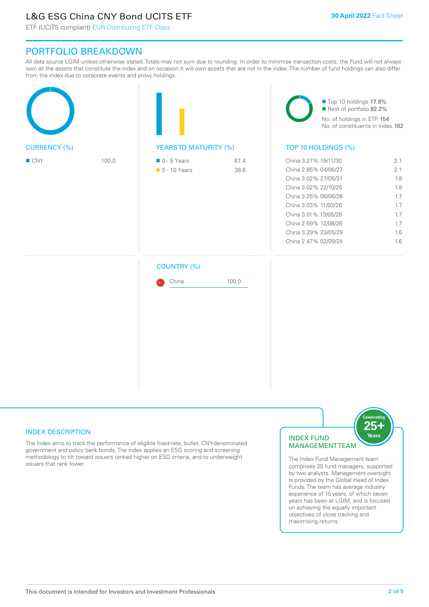### L&G ESG China CNY Bond UCITS ETF

ETF (UCITS compliant) EUR Distributing ETF Class

### PORTFOLIO BREAKDOWN

All data source LGIM unless otherwise stated. Totals may not sum due to rounding. In order to minimise transaction costs, the Fund will not always own all the assets that constitute the index and on occasion it will own assets that are not in the index. The number of fund holdings can also differ from the index due to corporate events and proxy holdings.

|                     |       |                                              |              | Top 10 holdings 17.8%<br>Rest of portfolio 82.2%<br>No. of holdings in ETF 154<br>No. of constituents in Index 162                                                                                                                           |                                                                    |  |
|---------------------|-------|----------------------------------------------|--------------|----------------------------------------------------------------------------------------------------------------------------------------------------------------------------------------------------------------------------------------------|--------------------------------------------------------------------|--|
| <b>CURRENCY (%)</b> |       | <b>YEARSTO MATURITY (%)</b>                  |              | TOP 10 HOLDINGS (%)                                                                                                                                                                                                                          |                                                                    |  |
| ■ CNY               | 100.0 | $\blacksquare$ 0 - 5 Years<br>■ 5 - 10 Years | 61.4<br>38.6 | China 3.27% 19/11/30<br>China 2.85% 04/06/27<br>China 3.02% 27/05/31<br>China 3.02% 22/10/25<br>China 3.25% 06/06/26<br>China 3.03% 11/03/26<br>China 3.01% 13/05/28<br>China 2.69% 12/08/26<br>China 3.29% 23/05/29<br>China 2.47% 02/09/24 | 2.1<br>2.1<br>1.8<br>1.8<br>1.7<br>1.7<br>1.7<br>1.7<br>1.6<br>1.6 |  |
|                     |       | <b>COUNTRY (%)</b><br>China                  | 100.0        |                                                                                                                                                                                                                                              |                                                                    |  |

#### INDEX DESCRIPTION

The Index aims to track the performance of eligible fixed-rate, bullet, CNY-denominated government and policy bank bonds. The index applies an ESG scoring and screening methodology to tilt toward issuers ranked higher on ESG criteria, and to underweight issuers that rank lower.

#### INDEX FUND MANAGEMENT TEAM



The Index Fund Management team comprises 25 fund managers, supported by two analysts. Management oversight is provided by the Global Head of Index Funds. The team has average industry experience of 15 years, of which seven years has been at LGIM, and is focused on achieving the equally important objectives of close tracking and maximising returns.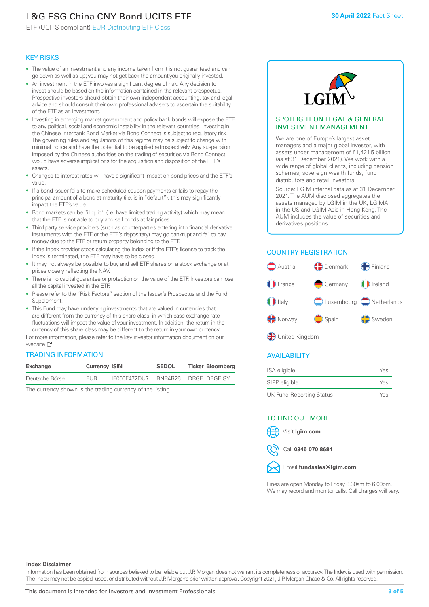## L&G ESG China CNY Bond UCITS ETF

ETF (UCITS compliant) EUR Distributing ETF Class

#### KEY RISKS

- The value of an investment and any income taken from it is not guaranteed and can go down as well as up; you may not get back the amount you originally invested.
- An investment in the ETF involves a significant degree of risk. Any decision to invest should be based on the information contained in the relevant prospectus. Prospective investors should obtain their own independent accounting, tax and legal advice and should consult their own professional advisers to ascertain the suitability of the ETF as an investment.
- Investing in emerging market government and policy bank bonds will expose the ETF to any political, social and economic instability in the relevant countries. Investing in the Chinese Interbank Bond Market via Bond Connect is subject to regulatory risk. The governing rules and regulations of this regime may be subject to change with minimal notice and have the potential to be applied retrospectively. Any suspension imposed by the Chinese authorities on the trading of securities via Bond Connect would have adverse implications for the acquisition and disposition of the ETF's assets.
- Changes to interest rates will have a significant impact on bond prices and the ETF's value.
- If a bond issuer fails to make scheduled coupon payments or fails to repay the principal amount of a bond at maturity (i.e. is in "default"), this may significantly impact the ETF's value.
- Bond markets can be "illiquid" (i.e. have limited trading activity) which may mean that the ETF is not able to buy and sell bonds at fair prices.
- Third party service providers (such as counterparties entering into financial derivative instruments with the ETF or the ETF's depositary) may go bankrupt and fail to pay money due to the ETF or return property belonging to the ETF.
- If the Index provider stops calculating the Index or if the ETF's license to track the Index is terminated, the ETF may have to be closed.
- It may not always be possible to buy and sell ETF shares on a stock exchange or at prices closely reflecting the NAV.
- There is no capital guarantee or protection on the value of the ETF. Investors can lose all the capital invested in the ETF.
- Please refer to the "Risk Factors" section of the Issuer's Prospectus and the Fund Supplement.
- This Fund may have underlying investments that are valued in currencies that are different from the currency of this share class, in which case exchange rate fluctuations will impact the value of your investment. In addition, the return in the currency of this share class may be different to the return in your own currency.

For mo[re inf](https://www.lgimetf.com/)ormation, please refer to the key investor information document on our website Ø

#### TRADING INFORMATION

| Exchange       | <b>Currency ISIN</b> |              | <b>SEDOL</b> | <b>Ticker Bloomberg</b> |  |
|----------------|----------------------|--------------|--------------|-------------------------|--|
| Deutsche Börse | <b>FUR</b>           | IE000F472DU7 |              | BNR4R26 DRGE DRGE GY    |  |

The currency shown is the trading currency of the listing.



#### SPOTLIGHT ON LEGAL & GENERAL INVESTMENT MANAGEMENT

We are one of Europe's largest asset managers and a major global investor, with assets under management of £1,421.5 billion (as at 31 December 2021). We work with a wide range of global clients, including pension schemes, sovereign wealth funds, fund distributors and retail investors.

Source: LGIM internal data as at 31 December 2021. The AUM disclosed aggregates the assets managed by LGIM in the UK, LGIMA in the US and LGIM Asia in Hong Kong. The AUM includes the value of securities and derivatives positions.

#### COUNTRY REGISTRATION



#### AVAILABILITY

| ISA eligible                    | Yes |
|---------------------------------|-----|
| SIPP eligible                   | Yes |
| <b>UK Fund Reporting Status</b> | Yes |

#### TO FIND OUT MORE





Call **0345 070 8684**



Lines are open Monday to Friday 8.30am to 6.00pm. We may record and monitor calls. Call charges will vary.

#### **Index Disclaimer**

Information has been obtained from sources believed to be reliable but J.P. Morgan does not warrant its completeness or accuracy. The Index is used with permission. The Index may not be copied, used, or distributed without J.P. Morgan's prior written approval. Copyright 2021, J.P. Morgan Chase & Co. All rights reserved.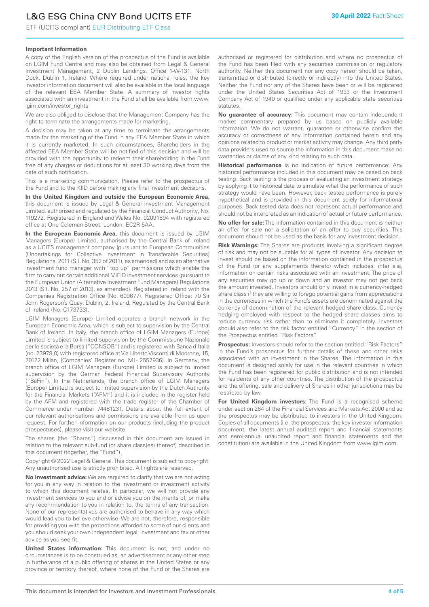### L&G ESG China CNY Bond UCITS ETF

ETF (UCITS compliant) EUR Distributing ETF Class

#### **Important Information**

A copy of the English version of the prospectus of the Fund is available on LGIM Fund Centre and may also be obtained from Legal & General Investment Management, 2 Dublin Landings, Office 1-W-131, North Dock, Dublin 1, Ireland. Where required under national rules, the key investor information document will also be available in the local language of the relevant EEA Member State. A summary of investor rights associated with an investment in the Fund shall be available from www. lgim.com/investor\_rights

We are also obliged to disclose that the Management Company has the right to terminate the arrangements made for marketing.

A decision may be taken at any time to terminate the arrangements made for the marketing of the Fund in any EEA Member State in which it is currently marketed. In such circumstances, Shareholders in the affected EEA Member State will be notified of this decision and will be provided with the opportunity to redeem their shareholding in the Fund free of any charges or deductions for at least 30 working days from the date of such notification.

This is a marketing communication. Please refer to the prospectus of the Fund and to the KIID before making any final investment decisions.

**In the United Kingdom and outside the European Economic Area,** this document is issued by Legal & General Investment Management Limited, authorised and regulated by the Financial Conduct Authority, No. 119272. Registered in England and Wales No. 02091894 with registered office at One Coleman Street, London, EC2R 5AA.

**In the European Economic Area,** this document is issued by LGIM Managers (Europe) Limited, authorised by the Central Bank of Ireland as a UCITS management company (pursuant to European Communities (Undertakings for Collective Investment in Transferable Securities) Regulations, 2011 (S.I. No. 352 of 2011), as amended) and as an alternative investment fund manager with "top up" permissions which enable the firm to carry out certain additional MiFID investment services (pursuant to the European Union (Alternative Investment Fund Managers) Regulations 2013 (S.I. No. 257 of 2013), as amended). Registered in Ireland with the Companies Registration Office (No. 609677). Registered Office: 70 Sir John Rogerson's Quay, Dublin, 2, Ireland. Regulated by the Central Bank of Ireland (No. C173733).

LGIM Managers (Europe) Limited operates a branch network in the European Economic Area, which is subject to supervision by the Central Bank of Ireland. In Italy, the branch office of LGIM Managers (Europe) Limited is subject to limited supervision by the Commissione Nazionale per le società e la Borsa ("CONSOB") and is registered with Banca d'Italia (no. 23978.0) with registered office at Via Uberto Visconti di Modrone, 15, 20122 Milan, (Companies' Register no. MI - 2557936). In Germany, the branch office of LGIM Managers (Europe) Limited is subject to limited supervision by the German Federal Financial Supervisory Authority ("BaFin"). In the Netherlands, the branch office of LGIM Managers (Europe) Limited is subject to limited supervision by the Dutch Authority for the Financial Markets ("AFM") and it is included in the register held by the AFM and registered with the trade register of the Chamber of Commerce under number 74481231. Details about the full extent of our relevant authorisations and permissions are available from us upon request. For further information on our products (including the product prospectuses), please visit our website.

The shares (the "Shares") discussed in this document are issued in relation to the relevant sub-fund (or share class(es) thereof) described in this document (together, the "Fund").

Copyright © 2022 Legal & General. This document is subject to copyright. Any unauthorised use is strictly prohibited. All rights are reserved.

**No investment advice:** We are required to clarify that we are not acting for you in any way in relation to the investment or investment activity to which this document relates. In particular, we will not provide any investment services to you and or advise you on the merits of, or make any recommendation to you in relation to, the terms of any transaction. None of our representatives are authorised to behave in any way which would lead you to believe otherwise. We are not, therefore, responsible for providing you with the protections afforded to some of our clients and you should seek your own independent legal, investment and tax or other advice as you see fit.

**United States information:** This document is not, and under no circumstances is to be construed as, an advertisement or any other step in furtherance of a public offering of shares in the United States or any province or territory thereof, where none of the Fund or the Shares are authorised or registered for distribution and where no prospectus of the Fund has been filed with any securities commission or regulatory authority. Neither this document nor any copy hereof should be taken, transmitted or distributed (directly or indirectly) into the United States. Neither the Fund nor any of the Shares have been or will be registered under the United States Securities Act of 1933 or the Investment Company Act of 1940 or qualified under any applicable state securities statutes.

**No guarantee of accuracy:** This document may contain independent market commentary prepared by us based on publicly available information. We do not warrant, guarantee or otherwise confirm the accuracy or correctness of any information contained herein and any opinions related to product or market activity may change. Any third party data providers used to source the information in this document make no warranties or claims of any kind relating to such data.

**Historical performance** is no indication of future performance: Any historical performance included in this document may be based on back testing. Back testing is the process of evaluating an investment strategy by applying it to historical data to simulate what the performance of such strategy would have been. However, back tested performance is purely hypothetical and is provided in this document solely for informational purposes. Back tested data does not represent actual performance and should not be interpreted as an indication of actual or future performance.

**No offer for sale:** The information contained in this document is neither an offer for sale nor a solicitation of an offer to buy securities. This document should not be used as the basis for any investment decision.

**Risk Warnings:** The Shares are products involving a significant degree of risk and may not be suitable for all types of investor. Any decision to invest should be based on the information contained in the prospectus of the Fund (or any supplements thereto) which includes, inter alia, information on certain risks associated with an investment. The price of any securities may go up or down and an investor may not get back the amount invested. Investors should only invest in a currency-hedged share class if they are willing to forego potential gains from appreciations in the currencies in which the Fund's assets are denominated against the currency of denomination of the relevant hedged share class. Currency hedging employed with respect to the hedged share classes aims to reduce currency risk rather than to eliminate it completely. Investors should also refer to the risk factor entitled "Currency" in the section of the Prospectus entitled "Risk Factors".

**Prospectus:** Investors should refer to the section entitled "Risk Factors" in the Fund's prospectus for further details of these and other risks associated with an investment in the Shares. The information in this document is designed solely for use in the relevant countries in which the Fund has been registered for public distribution and is not intended for residents of any other countries. The distribution of the prospectus and the offering, sale and delivery of Shares in other jurisdictions may be restricted by law.

**For United Kingdom investors:** The Fund is a recognised scheme under section 264 of the Financial Services and Markets Act 2000 and so the prospectus may be distributed to investors in the United Kingdom. Copies of all documents (i.e. the prospectus, the key investor information document, the latest annual audited report and financial statements and semi-annual unaudited report and financial statements and the constitution) are available in the United Kingdom from www.lgim.com.